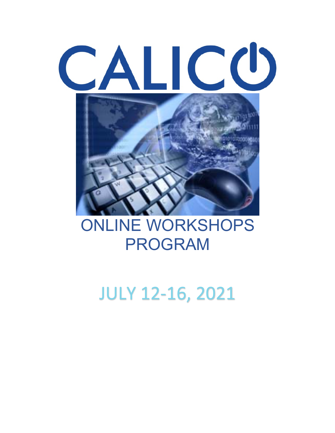# CALICO



# ONLINE WORKSHOPS PROGRAM

# JULY 12-16, 2021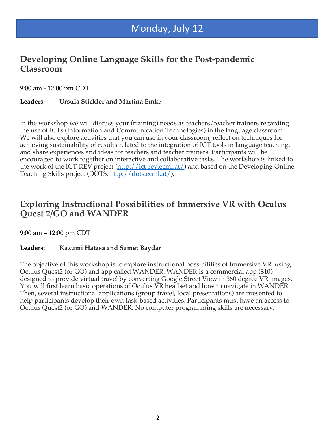# Monday, July 12

#### **Developing Online Language Skills for the Post-pandemic Classroom**

9:00 am - 12:00 pm CDT

#### **Leaders: Ursula Stickler and Martina Emk**e

In the workshop we will discuss your (training) needs as teachers/teacher trainers regarding the use of ICTs (Information and Communication Technologies) in the language classroom. We will also explore activities that you can use in your classroom, reflect on techniques for achieving sustainability of results related to the integration of ICT tools in language teaching, and share experiences and ideas for teachers and teacher trainers. Participants will be encouraged to work together on interactive and collaborative tasks. The workshop is linked to the work of the ICT-REV project (http://ict-rev.ecml.at/) and based on the Developing Online Teaching Skills project (DOTS, http://dots.ecml.at/).

#### **Exploring Instructional Possibilities of Immersive VR with Oculus Quest 2/GO and WANDER**

9:00 am – 12:00 pm CDT

#### **Leaders: Kazumi Hatasa and Samet Baydar**

The objective of this workshop is to explore instructional possibilities of Immersive VR, using Oculus Quest2 (or GO) and app called WANDER. WANDER is a commercial app (\$10) designed to provide virtual travel by converting Google Street View in 360 degree VR images. You will first learn basic operations of Oculus VR headset and how to navigate in WANDER. Then, several instructional applications (group travel, local presentations) are presented to help participants develop their own task-based activities. Participants must have an access to Oculus Quest2 (or GO) and WANDER. No computer programming skills are necessary.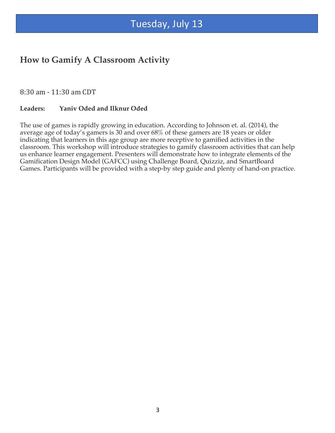## Tuesday, July 13

#### **How to Gamify A Classroom Activity**

8:30 am - 11:30 am CDT

#### **Leaders: Yaniv Oded and Ilknur Oded**

The use of games is rapidly growing in education. According to Johnson et. al. (2014), the average age of today's gamers is 30 and over 68% of these gamers are 18 years or older indicating that learners in this age group are more receptive to gamified activities in the classroom. This workshop will introduce strategies to gamify classroom activities that can help us enhance learner engagement. Presenters will demonstrate how to integrate elements of the Gamification Design Model (GAFCC) using Challenge Board, Quizziz, and SmartBoard Games. Participants will be provided with a step-by step guide and plenty of hand-on practice.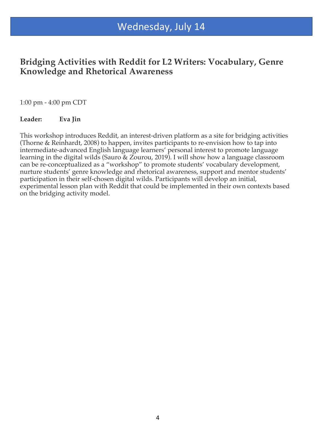# Wednesday, July 14

#### **Bridging Activities with Reddit for L2 Writers: Vocabulary, Genre Knowledge and Rhetorical Awareness**

1:00 pm - 4:00 pm CDT

#### **Leader: Eva Jin**

This workshop introduces Reddit, an interest-driven platform as a site for bridging activities (Thorne & Reinhardt, 2008) to happen, invites participants to re-envision how to tap into intermediate-advanced English language learners' personal interest to promote language learning in the digital wilds (Sauro & Zourou, 2019). I will show how a language classroom can be re-conceptualized as a "workshop" to promote students' vocabulary development, nurture students' genre knowledge and rhetorical awareness, support and mentor students' participation in their self-chosen digital wilds. Participants will develop an initial, experimental lesson plan with Reddit that could be implemented in their own contexts based on the bridging activity model.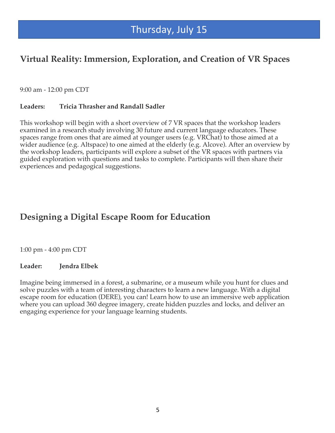# Thursday, July 15

### **Virtual Reality: Immersion, Exploration, and Creation of VR Spaces**

9:00 am - 12:00 pm CDT

#### **Leaders: Tricia Thrasher and Randall Sadler**

This workshop will begin with a short overview of 7 VR spaces that the workshop leaders examined in a research study involving 30 future and current language educators. These spaces range from ones that are aimed at younger users (e.g. VRChat) to those aimed at a wider audience (e.g. Altspace) to one aimed at the elderly (e.g. Alcove). After an overview by the workshop leaders, participants will explore a subset of the VR spaces with partners via guided exploration with questions and tasks to complete. Participants will then share their experiences and pedagogical suggestions.

### **Designing a Digital Escape Room for Education**

1:00 pm - 4:00 pm CDT

#### **Leader: Jendra Elbek**

Imagine being immersed in a forest, a submarine, or a museum while you hunt for clues and solve puzzles with a team of interesting characters to learn a new language. With a digital escape room for education (DERE), you can! Learn how to use an immersive web application where you can upload 360 degree imagery, create hidden puzzles and locks, and deliver an engaging experience for your language learning students.